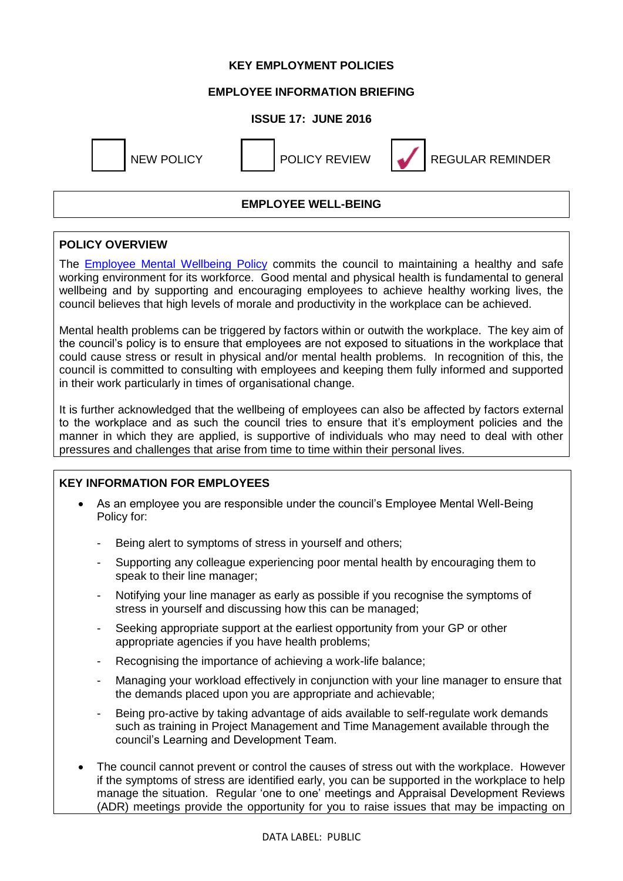### **KEY EMPLOYMENT POLICIES**

### **EMPLOYEE INFORMATION BRIEFING**

## **ISSUE 17: JUNE 2016**





NEW POLICY **I** POLICY REVIEW **REGULAR REMINDER** 

# **EMPLOYEE WELL-BEING**

## **POLICY OVERVIEW**

The **[Employee Mental Wellbeing Policy](https://www.westlothian.gov.uk/media/12623/Employee-Mental-Well-Being-Policy/pdf/Employee_Mental_Well-Being_Policy.pdf)** commits the council to maintaining a healthy and safe working environment for its workforce. Good mental and physical health is fundamental to general wellbeing and by supporting and encouraging employees to achieve healthy working lives, the council believes that high levels of morale and productivity in the workplace can be achieved.

Mental health problems can be triggered by factors within or outwith the workplace. The key aim of the council's policy is to ensure that employees are not exposed to situations in the workplace that could cause stress or result in physical and/or mental health problems. In recognition of this, the council is committed to consulting with employees and keeping them fully informed and supported in their work particularly in times of organisational change.

It is further acknowledged that the wellbeing of employees can also be affected by factors external to the workplace and as such the council tries to ensure that it's employment policies and the manner in which they are applied, is supportive of individuals who may need to deal with other pressures and challenges that arise from time to time within their personal lives.

#### **KEY INFORMATION FOR EMPLOYEES**

- As an employee you are responsible under the council's Employee Mental Well-Being Policy for:
	- Being alert to symptoms of stress in yourself and others;
	- Supporting any colleague experiencing poor mental health by encouraging them to speak to their line manager;
	- Notifying your line manager as early as possible if you recognise the symptoms of stress in yourself and discussing how this can be managed;
	- Seeking appropriate support at the earliest opportunity from your GP or other appropriate agencies if you have health problems;
	- Recognising the importance of achieving a work-life balance;
	- Managing your workload effectively in conjunction with your line manager to ensure that the demands placed upon you are appropriate and achievable;
	- Being pro-active by taking advantage of aids available to self-regulate work demands such as training in Project Management and Time Management available through the council's Learning and Development Team.
- The council cannot prevent or control the causes of stress out with the workplace. However if the symptoms of stress are identified early, you can be supported in the workplace to help manage the situation. Regular 'one to one' meetings and Appraisal Development Reviews (ADR) meetings provide the opportunity for you to raise issues that may be impacting on